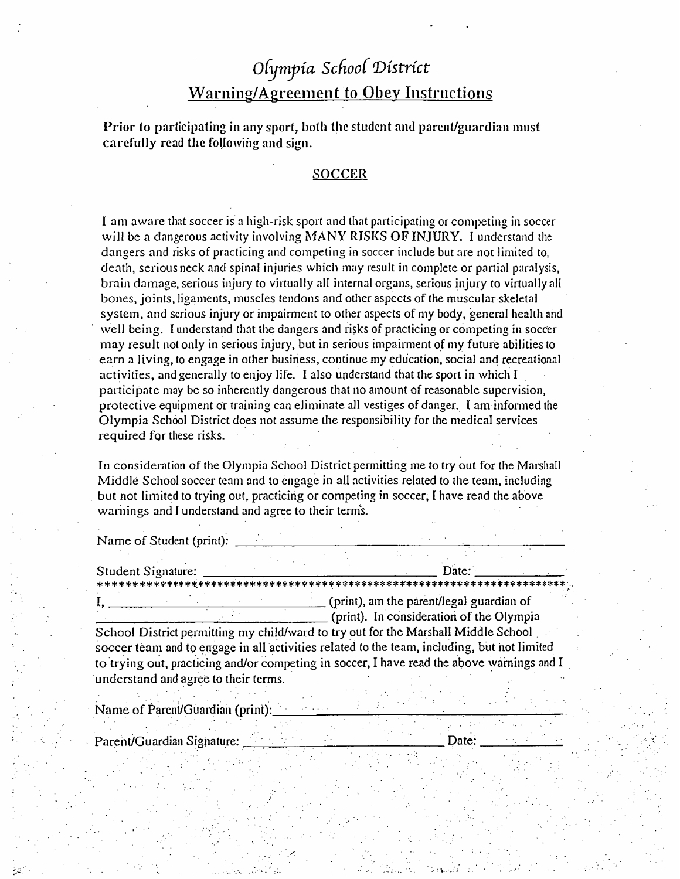## Olympia School District **Warning/Agreement to Obey Instructions**

Prior to participating in any sport, both the student and parent/guardian must carefully read the following and sign.

#### **SOCCER**

I am aware that soccer is a high-risk sport and that participating or competing in soccer will be a dangerous activity involving MANY RISKS OF INJURY. I understand the dangers and risks of practicing and competing in soccer include but are not limited to. death, serious neck and spinal injuries which may result in complete or partial paralysis, brain damage, serious injury to virtually all internal organs, serious injury to virtually all bones, joints, ligaments, muscles tendons and other aspects of the muscular skeletal system, and serious injury or impairment to other aspects of my body, general health and well being. I understand that the dangers and risks of practicing or competing in soccer may result not only in serious injury, but in serious impairment of my future abilities to earn a living, to engage in other business, continue my education, social and recreational activities, and generally to enjoy life. I also understand that the sport in which I participate may be so inherently dangerous that no amount of reasonable supervision, protective equipment or training can eliminate all vestiges of danger. I am informed the Olympia School District does not assume the responsibility for the medical services required for these risks.

In consideration of the Olympia School District permitting me to try out for the Marshall Middle School soccer team and to engage in all activities related to the team, including but not limited to trying out, practicing or competing in soccer, I have read the above warnings and I understand and agree to their terms.

Name of Student (print):

| Student Signature: |  | Date:                                    |  |
|--------------------|--|------------------------------------------|--|
|                    |  |                                          |  |
|                    |  | (print), am the parent/legal guardian of |  |
|                    |  | (print). In consideration of the Olympia |  |

School District permitting my child/ward to try out for the Marshall Middle School soccer team and to engage in all activities related to the team, including, but not limited to trying out, practicing and/or competing in soccer, I have read the above warnings and I understand and agree to their terms.

Date:

Name of Parent/Guardian (print):

Parent/Guardian Signature: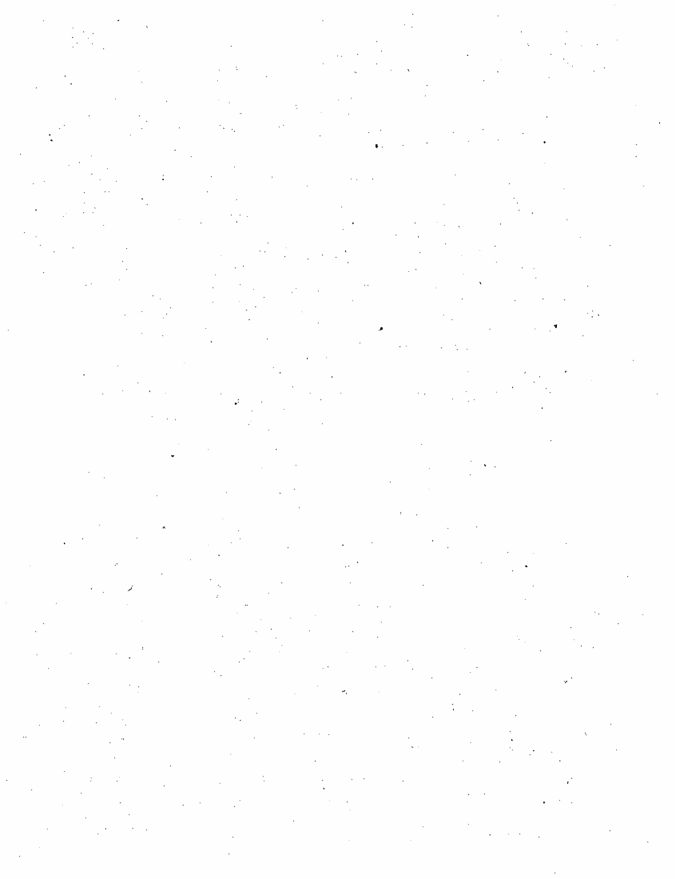$\frac{1}{\sqrt{2}}$ 

 $\lambda_{\rm{max}}$ 

 $\hat{\boldsymbol{\theta}}_i$  $\epsilon_{\rm{eff}}$  (  $\epsilon_{\rm{eff}}$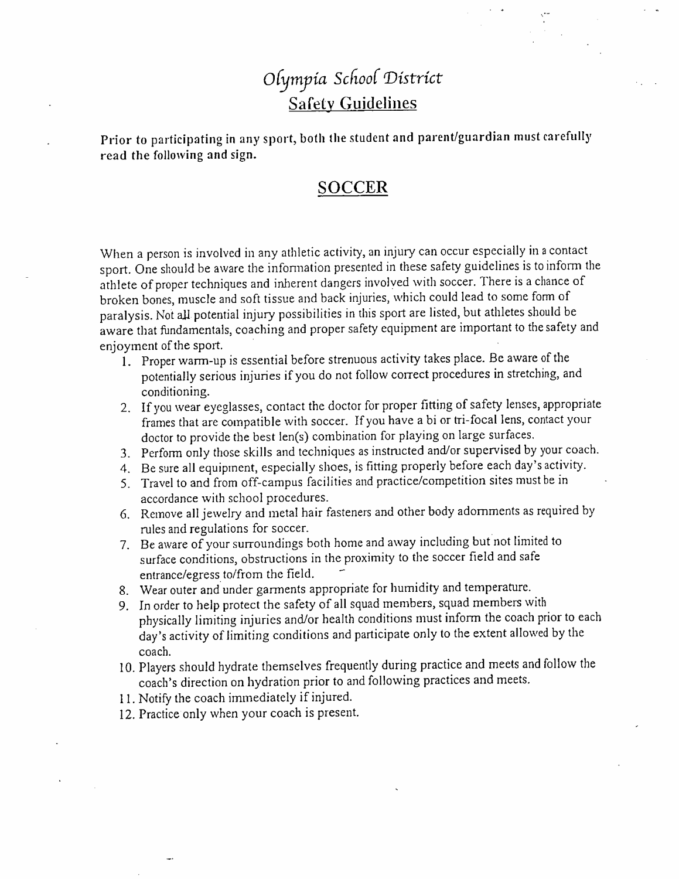# *Olympia School District* Safet<sup>y</sup> Guidelines

Prior to participating in any sport, both the student and parent/guardian must carefully read the following and sign.

### SOCCER

When a person is involved in any athletic activity, an injury can occur especially in <sup>a</sup> contact sport. One should be aware the information presented in these safety guidelines is to inform the athlete of proper techniques and inherent dangers involved with soccer. There is a chance of broken bones, muscle and soft tissue and back injuries, which could lead to some form of paralysis. Not all potential injury possibilities in this sport are listed, but athletes should be aware that fundamentals, coaching and proper safety equipment are important to the safety and enjoyment of the sport.

- 1. Proper warm-up is essential before strenuous activity takes place. Be aware of the potentially serious injuries if you do not follow correct procedures in stretching, and conditioning.
- 2. If you wear eyeglasses, contact the doctor for proper fitting of safety lenses, appropriate frames that are compatible with soccer. If you have a bi or tri-focal lens, contact your doctor to provide the best len(s) combination for playing on large surfaces.
- 3. Perform only those skills and techniques as instructed and/or supervised by your coach.
- 4. Be sure all equipment, especially shoes, is fitting property before each day's activity.
- 5. Travel to and from off-campu<sup>s</sup> facilities and practice/competition sites must be in accordance with school procedures.
- 6. Remove all jewelry and metal hair fasteners and other body adornments as required by rules and regulations for soccer.
- 7. Be aware of your surrounding<sup>s</sup> both home and away including but not limited to surface conditions, obstructions in the proximity to the soccer field and safe entrance/egress to/from the field.
- 8. Wear outer and under garments appropriate for humidity and temperature.
- 9. In order to help protect the safety of all squad members, squad members with physically limiting injuries and/or health conditions must inform the coach prior to each day's activity of limiting conditions and participate only to the extent allowed by the coach.
- 10. Players should hydrate themselves frequently during practice and meets and follow the coach's direction on hydration prior to and following practices and meets.
- 11. Notify the coach immediately if injured.
- 12. Practice only when your coach is present.